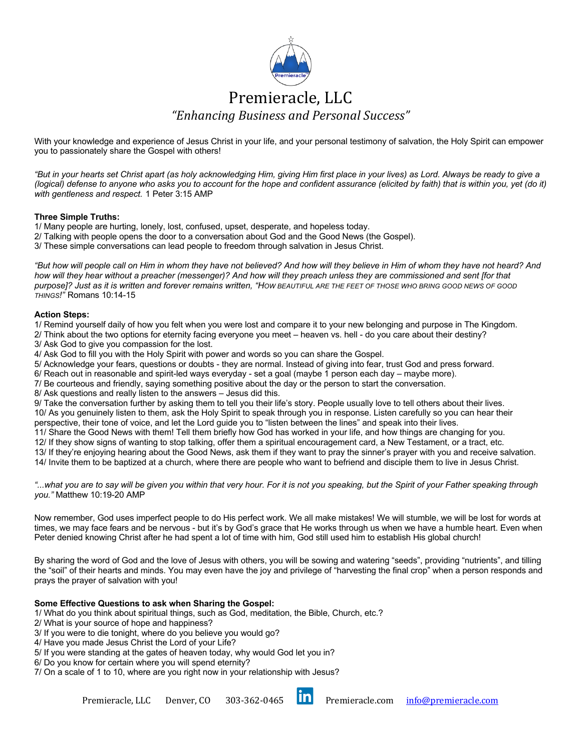

# Premieracle, LLC *"Enhancing Business and Personal Success"*

With your knowledge and experience of Jesus Christ in your life, and your personal testimony of salvation, the Holy Spirit can empower you to passionately share the Gospel with others!

*"But in your hearts set Christ apart (as holy acknowledging Him, giving Him first place in your lives) as Lord. Always be ready to give a (logical) defense to anyone who asks you to account for the hope and confident assurance (elicited by faith) that is within you, yet (do it) with gentleness and respect.* 1 Peter 3:15 AMP

## **Three Simple Truths:**

1/ Many people are hurting, lonely, lost, confused, upset, desperate, and hopeless today.

- 2/ Talking with people opens the door to a conversation about God and the Good News (the Gospel).
- 3/ These simple conversations can lead people to freedom through salvation in Jesus Christ.

*"But how will people call on Him in whom they have not believed? And how will they believe in Him of whom they have not heard? And how will they hear without a preacher (messenger)? And how will they preach unless they are commissioned and sent [for that purpose]? Just as it is written and forever remains written, "HOW BEAUTIFUL ARE THE FEET OF THOSE WHO BRING GOOD NEWS OF GOOD THINGS!"* Romans 10:14-15

## **Action Steps:**

1/ Remind yourself daily of how you felt when you were lost and compare it to your new belonging and purpose in The Kingdom. 2/ Think about the two options for eternity facing everyone you meet – heaven vs. hell - do you care about their destiny? 3/ Ask God to give you compassion for the lost.

4/ Ask God to fill you with the Holy Spirit with power and words so you can share the Gospel.

5/ Acknowledge your fears, questions or doubts - they are normal. Instead of giving into fear, trust God and press forward.

6/ Reach out in reasonable and spirit-led ways everyday - set a goal (maybe 1 person each day – maybe more).

7/ Be courteous and friendly, saying something positive about the day or the person to start the conversation.

8/ Ask questions and really listen to the answers – Jesus did this.

9/ Take the conversation further by asking them to tell you their life's story. People usually love to tell others about their lives. 10/ As you genuinely listen to them, ask the Holy Spirit to speak through you in response. Listen carefully so you can hear their perspective, their tone of voice, and let the Lord guide you to "listen between the lines" and speak into their lives.

11/ Share the Good News with them! Tell them briefly how God has worked in your life, and how things are changing for you.

12/ If they show signs of wanting to stop talking, offer them a spiritual encouragement card, a New Testament, or a tract, etc.

13/ If they're enjoying hearing about the Good News, ask them if they want to pray the sinner's prayer with you and receive salvation. 14/ Invite them to be baptized at a church, where there are people who want to befriend and disciple them to live in Jesus Christ.

*"...what you are to say will be given you within that very hour. For it is not you speaking, but the Spirit of your Father speaking through you."* Matthew 10:19-20 AMP

Now remember, God uses imperfect people to do His perfect work. We all make mistakes! We will stumble, we will be lost for words at times, we may face fears and be nervous - but it's by God's grace that He works through us when we have a humble heart. Even when Peter denied knowing Christ after he had spent a lot of time with him, God still used him to establish His global church!

By sharing the word of God and the love of Jesus with others, you will be sowing and watering "seeds", providing "nutrients", and tilling the "soil" of their hearts and minds. You may even have the joy and privilege of "harvesting the final crop" when a person responds and prays the prayer of salvation with you!

## **Some Effective Questions to ask when Sharing the Gospel:**

1/ What do you think about spiritual things, such as God, meditation, the Bible, Church, etc.?

2/ What is your source of hope and happiness?

3/ If you were to die tonight, where do you believe you would go?

4/ Have you made Jesus Christ the Lord of your Life?

5/ If you were standing at the gates of heaven today, why would God let you in?

6/ Do you know for certain where you will spend eternity?

7/ On a scale of 1 to 10, where are you right now in your relationship with Jesus?